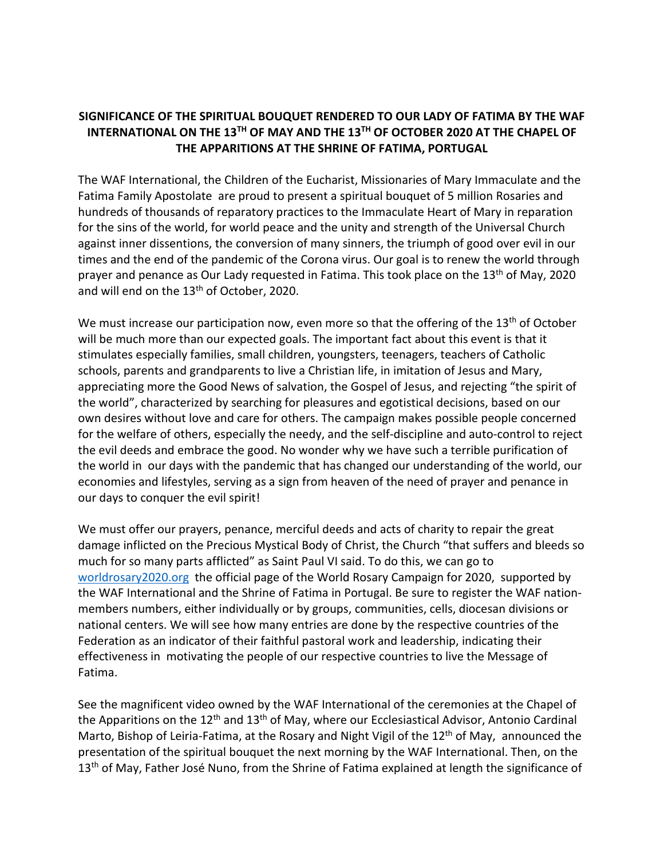## **SIGNIFICANCE OF THE SPIRITUAL BOUQUET RENDERED TO OUR LADY OF FATIMA BY THE WAF INTERNATIONAL ON THE 13TH OF MAY AND THE 13TH OF OCTOBER 2020 AT THE CHAPEL OF THE APPARITIONS AT THE SHRINE OF FATIMA, PORTUGAL**

The WAF International, the Children of the Eucharist, Missionaries of Mary Immaculate and the Fatima Family Apostolate are proud to present a spiritual bouquet of 5 million Rosaries and hundreds of thousands of reparatory practices to the Immaculate Heart of Mary in reparation for the sins of the world, for world peace and the unity and strength of the Universal Church against inner dissentions, the conversion of many sinners, the triumph of good over evil in our times and the end of the pandemic of the Corona virus. Our goal is to renew the world through prayer and penance as Our Lady requested in Fatima. This took place on the 13<sup>th</sup> of May, 2020 and will end on the 13<sup>th</sup> of October, 2020.

We must increase our participation now, even more so that the offering of the  $13<sup>th</sup>$  of October will be much more than our expected goals. The important fact about this event is that it stimulates especially families, small children, youngsters, teenagers, teachers of Catholic schools, parents and grandparents to live a Christian life, in imitation of Jesus and Mary, appreciating more the Good News of salvation, the Gospel of Jesus, and rejecting "the spirit of the world", characterized by searching for pleasures and egotistical decisions, based on our own desires without love and care for others. The campaign makes possible people concerned for the welfare of others, especially the needy, and the self-discipline and auto-control to reject the evil deeds and embrace the good. No wonder why we have such a terrible purification of the world in our days with the pandemic that has changed our understanding of the world, our economies and lifestyles, serving as a sign from heaven of the need of prayer and penance in our days to conquer the evil spirit!

We must offer our prayers, penance, merciful deeds and acts of charity to repair the great damage inflicted on the Precious Mystical Body of Christ, the Church "that suffers and bleeds so much for so many parts afflicted" as Saint Paul VI said. To do this, we can go to [worldrosary2020.org](http://www.worldrosary2020.org/) the official page of the World Rosary Campaign for 2020, supported by the WAF International and the Shrine of Fatima in Portugal. Be sure to register the WAF nationmembers numbers, either individually or by groups, communities, cells, diocesan divisions or national centers. We will see how many entries are done by the respective countries of the Federation as an indicator of their faithful pastoral work and leadership, indicating their effectiveness in motivating the people of our respective countries to live the Message of Fatima.

See the magnificent video owned by the WAF International of the ceremonies at the Chapel of the Apparitions on the  $12<sup>th</sup>$  and  $13<sup>th</sup>$  of May, where our Ecclesiastical Advisor, Antonio Cardinal Marto, Bishop of Leiria-Fatima, at the Rosary and Night Vigil of the  $12<sup>th</sup>$  of May, announced the presentation of the spiritual bouquet the next morning by the WAF International. Then, on the 13<sup>th</sup> of May, Father José Nuno, from the Shrine of Fatima explained at length the significance of